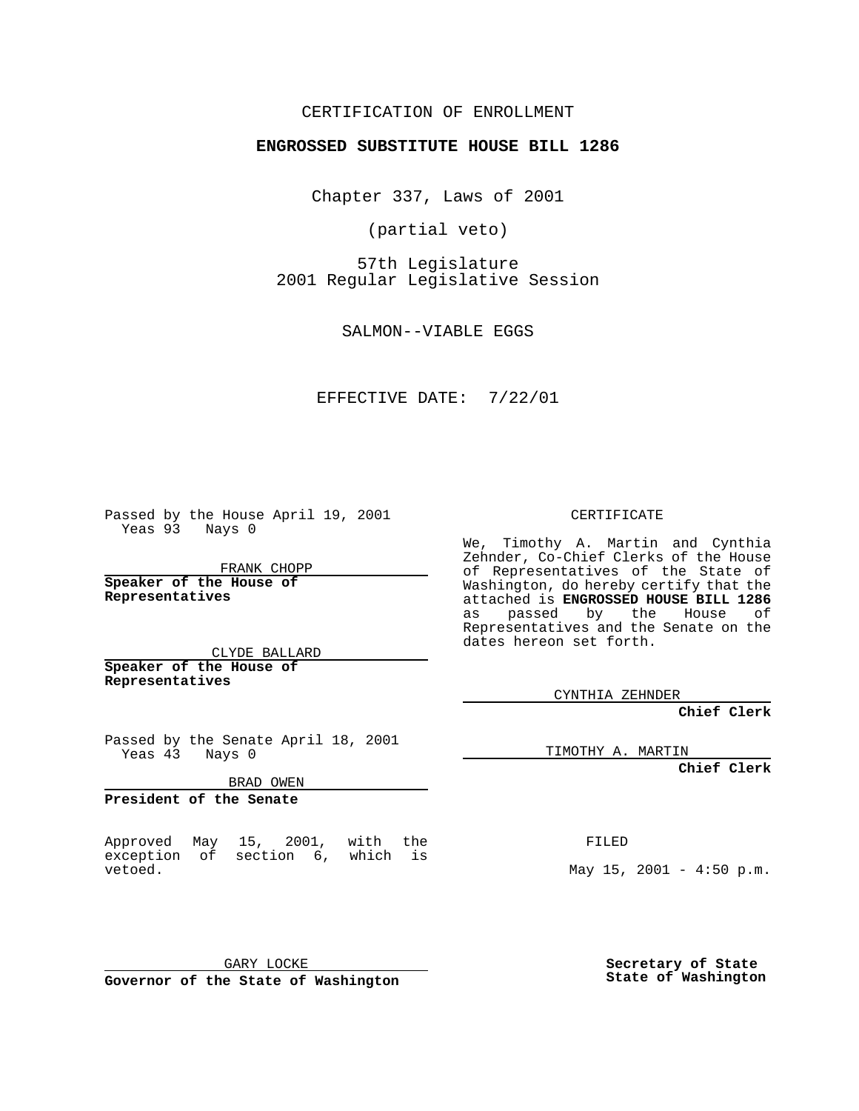CERTIFICATION OF ENROLLMENT

# **ENGROSSED SUBSTITUTE HOUSE BILL 1286**

Chapter 337, Laws of 2001

(partial veto)

57th Legislature 2001 Regular Legislative Session

SALMON--VIABLE EGGS

#### EFFECTIVE DATE: 7/22/01

Passed by the House April 19, 2001 Yeas 93 Nays 0

FRANK CHOPP

**Speaker of the House of Representatives**

CLYDE BALLARD **Speaker of the House of Representatives**

Passed by the Senate April 18, 2001 Yeas 43 Nays 0

BRAD OWEN

**President of the Senate**

Approved May 15, 2001, with the exception of section 6, which is vetoed.

GARY LOCKE **Governor of the State of Washington** CERTIFICATE

We, Timothy A. Martin and Cynthia Zehnder, Co-Chief Clerks of the House of Representatives of the State of Washington, do hereby certify that the attached is **ENGROSSED HOUSE BILL 1286** as passed by the House of Representatives and the Senate on the dates hereon set forth.

CYNTHIA ZEHNDER

**Chief Clerk**

TIMOTHY A. MARTIN

**Chief Clerk**

FILED

May  $15$ ,  $2001 - 4:50$  p.m.

**Secretary of State State of Washington**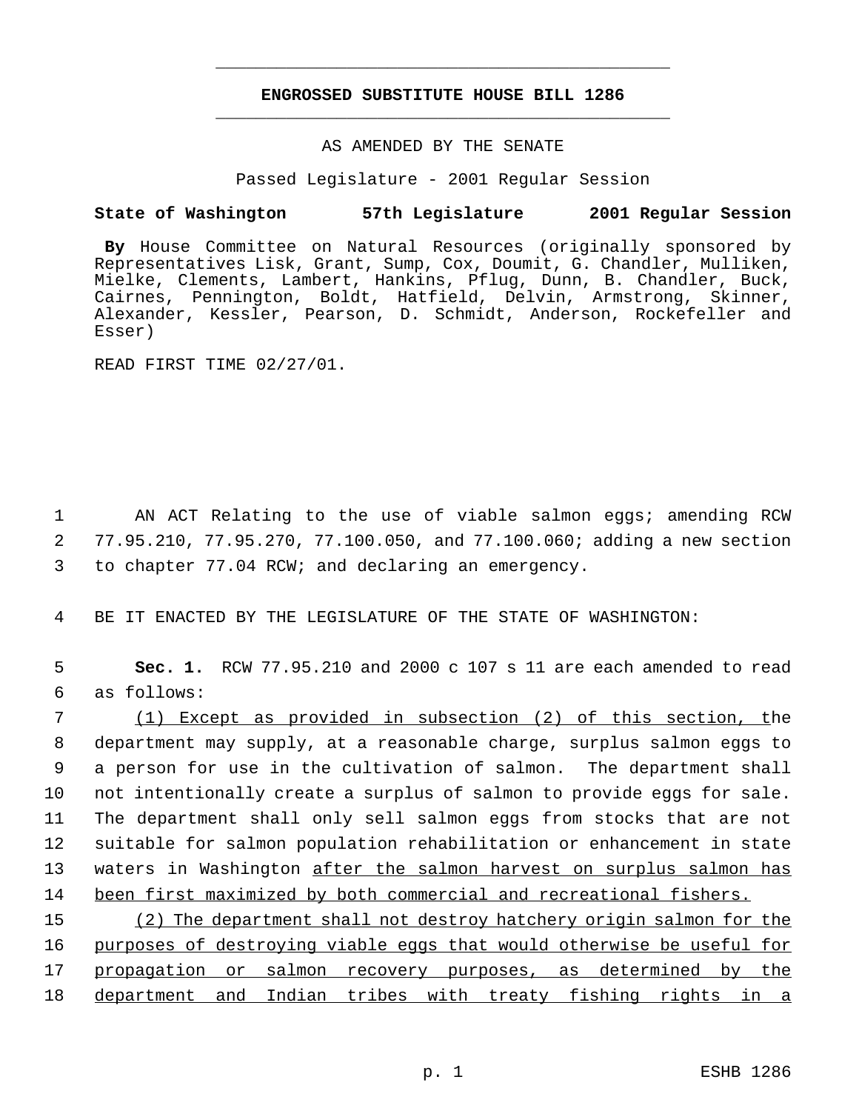## **ENGROSSED SUBSTITUTE HOUSE BILL 1286** \_\_\_\_\_\_\_\_\_\_\_\_\_\_\_\_\_\_\_\_\_\_\_\_\_\_\_\_\_\_\_\_\_\_\_\_\_\_\_\_\_\_\_\_\_

\_\_\_\_\_\_\_\_\_\_\_\_\_\_\_\_\_\_\_\_\_\_\_\_\_\_\_\_\_\_\_\_\_\_\_\_\_\_\_\_\_\_\_\_\_

# AS AMENDED BY THE SENATE

Passed Legislature - 2001 Regular Session

### **State of Washington 57th Legislature 2001 Regular Session**

**By** House Committee on Natural Resources (originally sponsored by Representatives Lisk, Grant, Sump, Cox, Doumit, G. Chandler, Mulliken, Mielke, Clements, Lambert, Hankins, Pflug, Dunn, B. Chandler, Buck, Cairnes, Pennington, Boldt, Hatfield, Delvin, Armstrong, Skinner, Alexander, Kessler, Pearson, D. Schmidt, Anderson, Rockefeller and Esser)

READ FIRST TIME 02/27/01.

1 AN ACT Relating to the use of viable salmon eggs; amending RCW 2 77.95.210, 77.95.270, 77.100.050, and 77.100.060; adding a new section 3 to chapter 77.04 RCW; and declaring an emergency.

4 BE IT ENACTED BY THE LEGISLATURE OF THE STATE OF WASHINGTON:

5 **Sec. 1.** RCW 77.95.210 and 2000 c 107 s 11 are each amended to read 6 as follows:

 (1) Except as provided in subsection (2) of this section, the department may supply, at a reasonable charge, surplus salmon eggs to a person for use in the cultivation of salmon. The department shall not intentionally create a surplus of salmon to provide eggs for sale. The department shall only sell salmon eggs from stocks that are not suitable for salmon population rehabilitation or enhancement in state waters in Washington after the salmon harvest on surplus salmon has 14 been first maximized by both commercial and recreational fishers.

 (2) The department shall not destroy hatchery origin salmon for the purposes of destroying viable eggs that would otherwise be useful for 17 propagation or salmon recovery purposes, as determined by the department and Indian tribes with treaty fishing rights in a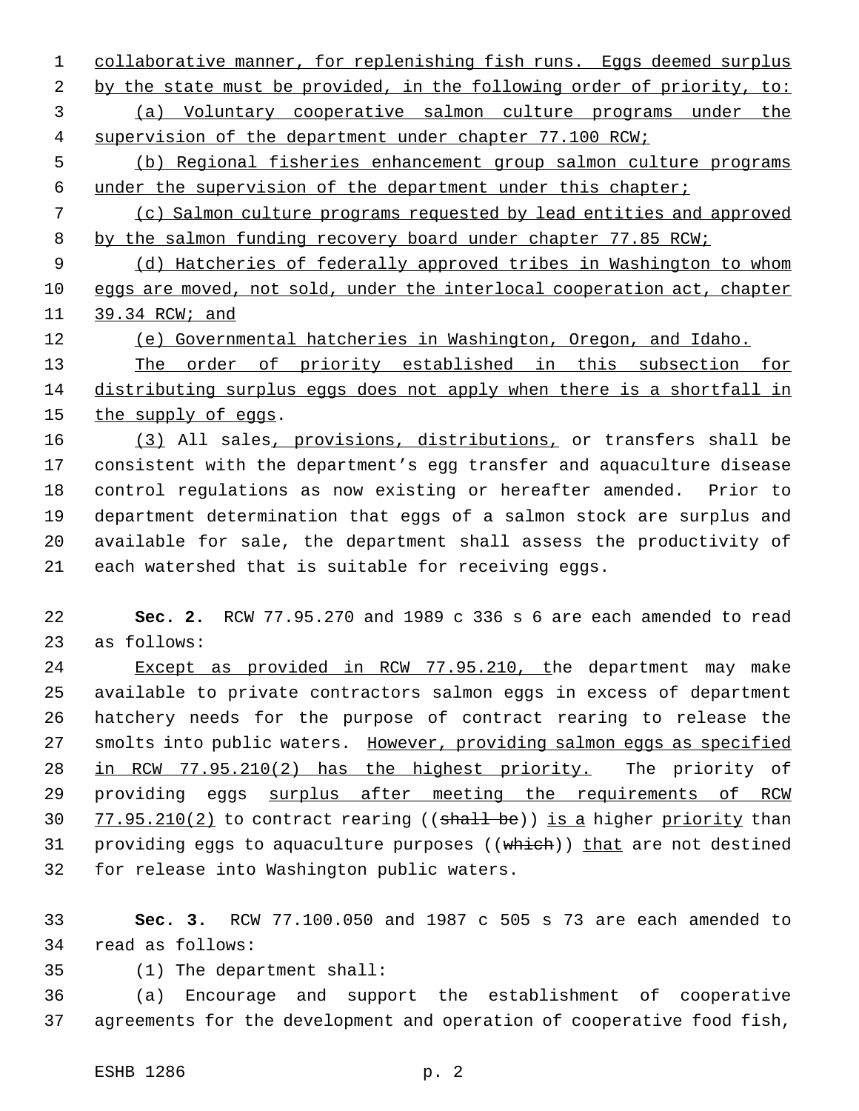1 collaborative manner, for replenishing fish runs. Eggs deemed surplus 2 by the state must be provided, in the following order of priority, to: (a) Voluntary cooperative salmon culture programs under the 4 supervision of the department under chapter 77.100 RCW; (b) Regional fisheries enhancement group salmon culture programs under the supervision of the department under this chapter;

 (c) Salmon culture programs requested by lead entities and approved 8 by the salmon funding recovery board under chapter 77.85 RCW;

 (d) Hatcheries of federally approved tribes in Washington to whom 10 eggs are moved, not sold, under the interlocal cooperation act, chapter 39.34 RCW; and

(e) Governmental hatcheries in Washington, Oregon, and Idaho.

 The order of priority established in this subsection for 14 distributing surplus eggs does not apply when there is a shortfall in 15 the supply of eggs.

 (3) All sales, provisions, distributions, or transfers shall be consistent with the department's egg transfer and aquaculture disease control regulations as now existing or hereafter amended. Prior to department determination that eggs of a salmon stock are surplus and available for sale, the department shall assess the productivity of each watershed that is suitable for receiving eggs.

 **Sec. 2.** RCW 77.95.270 and 1989 c 336 s 6 are each amended to read as follows:

 Except as provided in RCW 77.95.210, the department may make available to private contractors salmon eggs in excess of department hatchery needs for the purpose of contract rearing to release the smolts into public waters. However, providing salmon eggs as specified in RCW 77.95.210(2) has the highest priority. The priority of 29 providing eggs surplus after meeting the requirements of RCW 30 77.95.210(2) to contract rearing (( $\frac{\pi}{3}$ ) is a higher priority than 31 providing eggs to aquaculture purposes ((which)) that are not destined for release into Washington public waters.

 **Sec. 3.** RCW 77.100.050 and 1987 c 505 s 73 are each amended to read as follows:

(1) The department shall:

 (a) Encourage and support the establishment of cooperative agreements for the development and operation of cooperative food fish,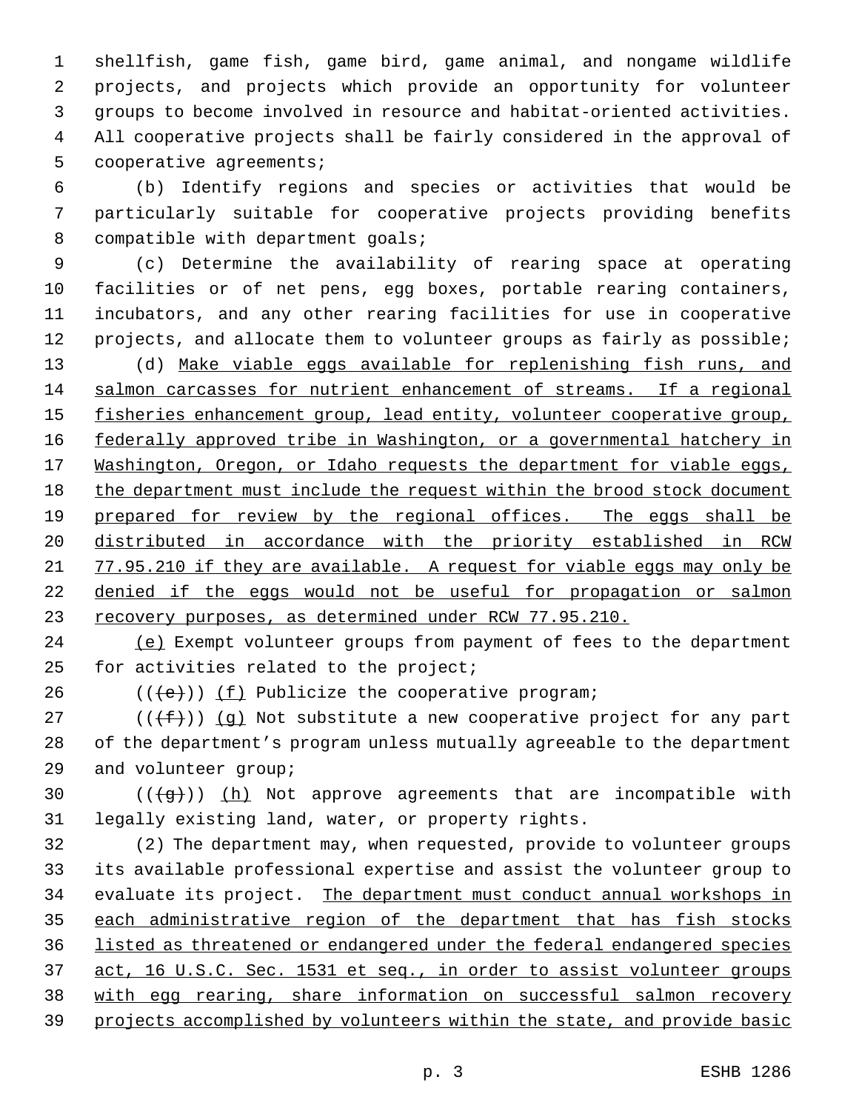shellfish, game fish, game bird, game animal, and nongame wildlife projects, and projects which provide an opportunity for volunteer groups to become involved in resource and habitat-oriented activities. All cooperative projects shall be fairly considered in the approval of cooperative agreements;

 (b) Identify regions and species or activities that would be particularly suitable for cooperative projects providing benefits 8 compatible with department goals;

 (c) Determine the availability of rearing space at operating facilities or of net pens, egg boxes, portable rearing containers, incubators, and any other rearing facilities for use in cooperative 12 projects, and allocate them to volunteer groups as fairly as possible; (d) Make viable eggs available for replenishing fish runs, and 14 salmon carcasses for nutrient enhancement of streams. If a regional 15 fisheries enhancement group, lead entity, volunteer cooperative group, federally approved tribe in Washington, or a governmental hatchery in 17 Washington, Oregon, or Idaho requests the department for viable eggs, 18 the department must include the request within the brood stock document 19 prepared for review by the regional offices. The eggs shall be distributed in accordance with the priority established in RCW 21 77.95.210 if they are available. A request for viable eggs may only be denied if the eggs would not be useful for propagation or salmon recovery purposes, as determined under RCW 77.95.210.

 (e) Exempt volunteer groups from payment of fees to the department for activities related to the project;

26  $((\{e\}) \mid \underline{f})$  Publicize the cooperative program;

27 ( $(\{\pm\})$ ) (q) Not substitute a new cooperative project for any part of the department's program unless mutually agreeable to the department and volunteer group;

30  $((\{g\})$   $(h)$  Not approve agreements that are incompatible with legally existing land, water, or property rights.

 (2) The department may, when requested, provide to volunteer groups its available professional expertise and assist the volunteer group to 34 evaluate its project. The department must conduct annual workshops in 35 each administrative region of the department that has fish stocks listed as threatened or endangered under the federal endangered species 37 act, 16 U.S.C. Sec. 1531 et seq., in order to assist volunteer groups with egg rearing, share information on successful salmon recovery projects accomplished by volunteers within the state, and provide basic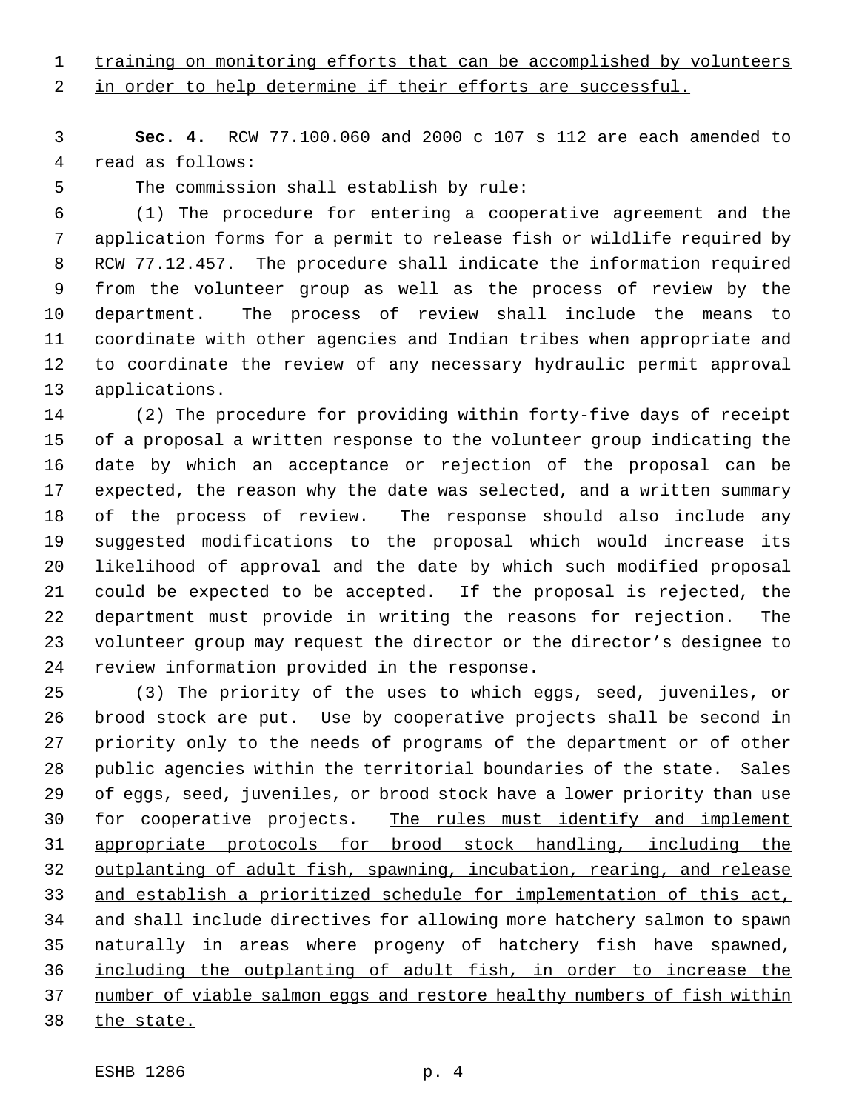1 training on monitoring efforts that can be accomplished by volunteers

2 in order to help determine if their efforts are successful.

 **Sec. 4.** RCW 77.100.060 and 2000 c 107 s 112 are each amended to read as follows:

The commission shall establish by rule:

 (1) The procedure for entering a cooperative agreement and the application forms for a permit to release fish or wildlife required by RCW 77.12.457. The procedure shall indicate the information required from the volunteer group as well as the process of review by the department. The process of review shall include the means to coordinate with other agencies and Indian tribes when appropriate and to coordinate the review of any necessary hydraulic permit approval applications.

 (2) The procedure for providing within forty-five days of receipt of a proposal a written response to the volunteer group indicating the date by which an acceptance or rejection of the proposal can be expected, the reason why the date was selected, and a written summary of the process of review. The response should also include any suggested modifications to the proposal which would increase its likelihood of approval and the date by which such modified proposal could be expected to be accepted. If the proposal is rejected, the department must provide in writing the reasons for rejection. The volunteer group may request the director or the director's designee to review information provided in the response.

 (3) The priority of the uses to which eggs, seed, juveniles, or brood stock are put. Use by cooperative projects shall be second in priority only to the needs of programs of the department or of other public agencies within the territorial boundaries of the state. Sales of eggs, seed, juveniles, or brood stock have a lower priority than use 30 for cooperative projects. The rules must identify and implement appropriate protocols for brood stock handling, including the outplanting of adult fish, spawning, incubation, rearing, and release and establish a prioritized schedule for implementation of this act, and shall include directives for allowing more hatchery salmon to spawn naturally in areas where progeny of hatchery fish have spawned, including the outplanting of adult fish, in order to increase the number of viable salmon eggs and restore healthy numbers of fish within 38 the state.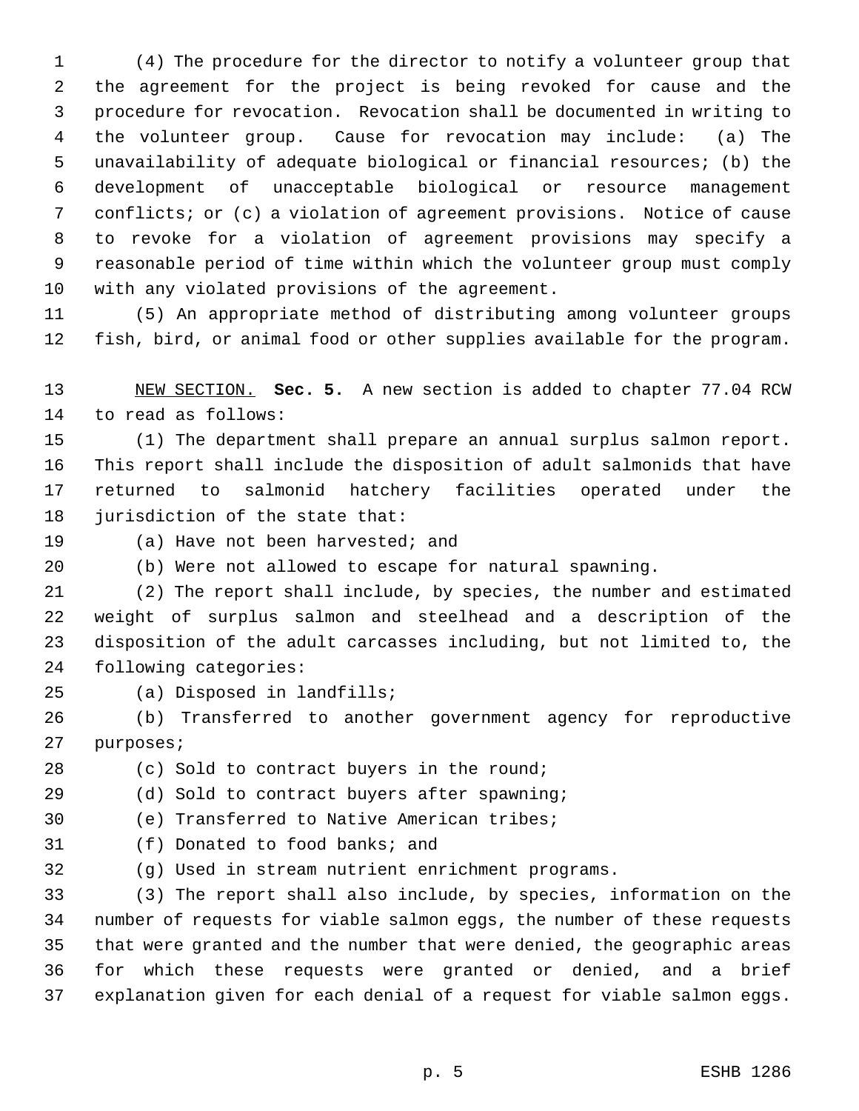(4) The procedure for the director to notify a volunteer group that the agreement for the project is being revoked for cause and the procedure for revocation. Revocation shall be documented in writing to the volunteer group. Cause for revocation may include: (a) The unavailability of adequate biological or financial resources; (b) the development of unacceptable biological or resource management conflicts; or (c) a violation of agreement provisions. Notice of cause to revoke for a violation of agreement provisions may specify a reasonable period of time within which the volunteer group must comply with any violated provisions of the agreement.

 (5) An appropriate method of distributing among volunteer groups fish, bird, or animal food or other supplies available for the program.

 NEW SECTION. **Sec. 5.** A new section is added to chapter 77.04 RCW to read as follows:

 (1) The department shall prepare an annual surplus salmon report. This report shall include the disposition of adult salmonids that have returned to salmonid hatchery facilities operated under the jurisdiction of the state that:

(a) Have not been harvested; and

(b) Were not allowed to escape for natural spawning.

 (2) The report shall include, by species, the number and estimated weight of surplus salmon and steelhead and a description of the disposition of the adult carcasses including, but not limited to, the following categories:

(a) Disposed in landfills;

 (b) Transferred to another government agency for reproductive purposes;

(c) Sold to contract buyers in the round;

(d) Sold to contract buyers after spawning;

(e) Transferred to Native American tribes;

(f) Donated to food banks; and

(g) Used in stream nutrient enrichment programs.

 (3) The report shall also include, by species, information on the number of requests for viable salmon eggs, the number of these requests that were granted and the number that were denied, the geographic areas for which these requests were granted or denied, and a brief explanation given for each denial of a request for viable salmon eggs.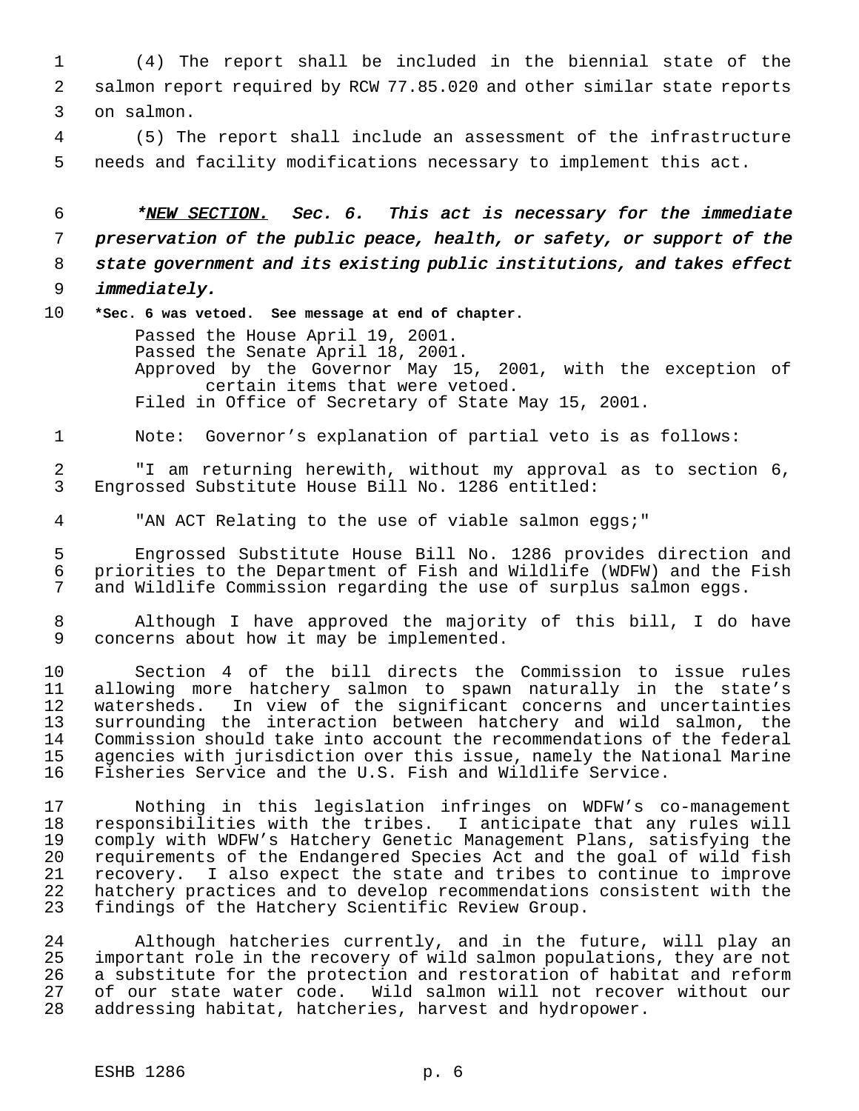(4) The report shall be included in the biennial state of the salmon report required by RCW 77.85.020 and other similar state reports on salmon.

 (5) The report shall include an assessment of the infrastructure needs and facility modifications necessary to implement this act.

6 \*NEW SECTION. Sec. 6. This act is necessary for the immediate preservation of the public peace, health, or safety, or support of the state government and its existing public institutions, and takes effect immediately.

**\*Sec. 6 was vetoed. See message at end of chapter.**

Passed the House April 19, 2001. Passed the Senate April 18, 2001. Approved by the Governor May 15, 2001, with the exception of certain items that were vetoed. Filed in Office of Secretary of State May 15, 2001.

Note: Governor's explanation of partial veto is as follows:

 "I am returning herewith, without my approval as to section 6, Engrossed Substitute House Bill No. 1286 entitled:

"AN ACT Relating to the use of viable salmon eggs;"

 Engrossed Substitute House Bill No. 1286 provides direction and priorities to the Department of Fish and Wildlife (WDFW) and the Fish and Wildlife Commission regarding the use of surplus salmon eggs.

 Although I have approved the majority of this bill, I do have concerns about how it may be implemented.

 Section 4 of the bill directs the Commission to issue rules allowing more hatchery salmon to spawn naturally in the state's watersheds. In view of the significant concerns and uncertainties 13 surrounding the interaction between hatchery and wild salmon, the<br>14 Commission should take into account the recommendations of the federal Commission should take into account the recommendations of the federal agencies with jurisdiction over this issue, namely the National Marine Fisheries Service and the U.S. Fish and Wildlife Service.

 Nothing in this legislation infringes on WDFW's co-management 18 responsibilities with the tribes. I anticipate that any rules will<br>19 comply with WDFW's Hatchery Genetic Management Plans, satisfying the 19 comply with WDFW's Hatchery Genetic Management Plans, satisfying the<br>20 requirements of the Endangered Species Act and the goal of wild fish requirements of the Endangered Species Act and the goal of wild fish recovery. I also expect the state and tribes to continue to improve hatchery practices and to develop recommendations consistent with the findings of the Hatchery Scientific Review Group.

 Although hatcheries currently, and in the future, will play an important role in the recovery of wild salmon populations, they are not a substitute for the protection and restoration of habitat and reform of our state water code. Wild salmon will not recover without our addressing habitat, hatcheries, harvest and hydropower.